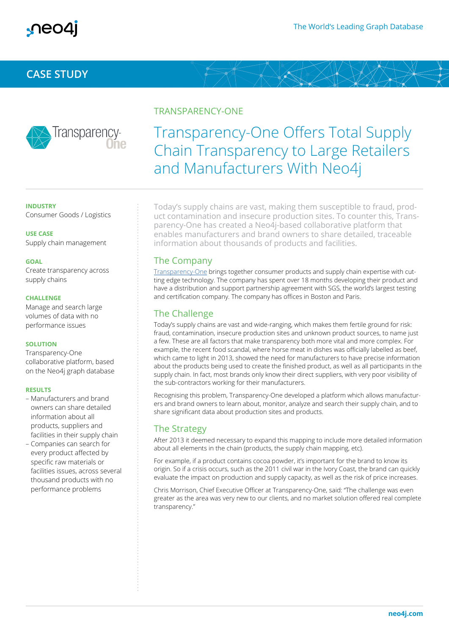

## **CASE STUDY**



#### TRANSPARENCY-ONE

# Transparency-One Offers Total Supply Chain Transparency to Large Retailers and Manufacturers With Neo4j

**INDUSTRY**  Consumer Goods / Logistics

**USE CASE**  Supply chain management

#### **GOAL**

Create transparency across supply chains

#### **CHALLENGE**

Manage and search large volumes of data with no performance issues

#### **SOLUTION**

Transparency-One collaborative platform, based on the Neo4j graph database

#### **RESULTS**

- Manufacturers and brand owners can share detailed information about all products, suppliers and facilities in their supply chain
- Companies can search for every product affected by specific raw materials or facilities issues, across several thousand products with no performance problems

Today's supply chains are vast, making them susceptible to fraud, product contamination and insecure production sites. To counter this, Transparency-One has created a Neo4j-based collaborative platform that enables manufacturers and brand owners to share detailed, traceable information about thousands of products and facilities.

## The Company

Transparency-One brings together consumer products and supply chain expertise with cutting edge technology. The company has spent over 18 months developing their product and have a distribution and support partnership agreement with SGS, the world's largest testing and certification company. The company has offices in Boston and Paris.

## The Challenge

Today's supply chains are vast and wide-ranging, which makes them fertile ground for risk: fraud, contamination, insecure production sites and unknown product sources, to name just a few. These are all factors that make transparency both more vital and more complex. For example, the recent food scandal, where horse meat in dishes was officially labelled as beef, which came to light in 2013, showed the need for manufacturers to have precise information about the products being used to create the finished product, as well as all participants in the supply chain. In fact, most brands only know their direct suppliers, with very poor visibility of the sub-contractors working for their manufacturers.

Recognising this problem, Transparency-One developed a platform which allows manufacturers and brand owners to learn about, monitor, analyze and search their supply chain, and to share significant data about production sites and products.

### The Strategy

After 2013 it deemed necessary to expand this mapping to include more detailed information about all elements in the chain (products, the supply chain mapping, etc).

For example, if a product contains cocoa powder, it's important for the brand to know its origin. So if a crisis occurs, such as the 2011 civil war in the Ivory Coast, the brand can quickly evaluate the impact on production and supply capacity, as well as the risk of price increases.

Chris Morrison, Chief Executive Officer at Transparency-One, said: "The challenge was even greater as the area was very new to our clients, and no market solution offered real complete transparency."